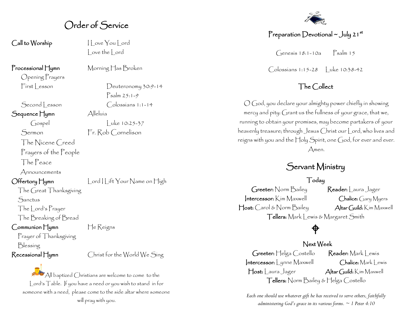## Order of Service

Call to Worship I Love You Lord

Opening Prayers

Sequence Hymn Alleluía

The Nicene Creed

Prayers of the People

The Peace

Announcements

**Sanctus** 

The Lord's Prayer

The Breaking of Bread

Prayer of Thanksgiving

The Great Thanksgiving

Communion Hymn He Reigns

Blessing

Recessional Hymn Christ for the World We Sing

 $\mathbb{P}_{\mathsf{A}}$ ll baptized Christians are welcome to come to the Lord's Table. If you have a need or you wish to stand in for someone with a need, please come to the side altar where someone will pray with you.

Love the Lord

Processional Hymn Morning Has Broken

First Lesson Deuteronomy 30:9-14 Psalm 25:1-9 Second | esson Colossians 1:1-14

Gospel Luke 10:25-37 Sermon Fr. Rob Cornelison

Offertory Hymn Lord Lift Your Name on High

#### Preparation Devotional  $\sim$  July 21st

 $G$ enesis 18:1-10a  $\sum_{n=1}^{\infty}$  Psalm 15

Colossians 1:15-28 | uke 10:38-42

#### The Collect

O God, you declare your almighty power chiefly in showing mercy and pity: Grant us the fullness of your grace, that we, running to obtain your promises, may become partakers of your heavenly treasure; through Jesus Christ our Lord, who lives and reigns with you and the Holy Spirit, one God, for ever and ever. Amen.

## Servant Ministry

#### Today

Greeter: Norm Bailey Reader: Laura Jager Intercessor: Kim Maxwell Chalice: Gary Myers Host: Carol & Norm Bailey Altar Guild: Kim Maxwell Tellers: Mark Lewis & Margaret Smith

# ♦

#### Next Week

Greeter: Helga Costello Reader: Mark Lewis Intercessor: Lynne Maxwell Chalice: Mark Lewis Host: Laura Jager Altar Guild: Kim Maxwell Tellers: Norm Bailey & Helga Costello

*Each one should use whatever gift he has received to serve others, faithfully administering God's grace in its various forms. ~ 1 Peter 4:10*